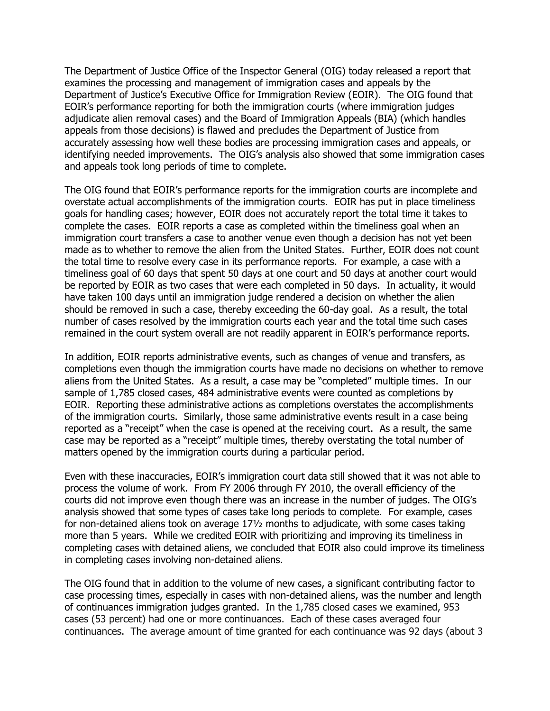The Department of Justice Office of the Inspector General (OIG) today released a report that examines the processing and management of immigration cases and appeals by the Department of Justice's Executive Office for Immigration Review (EOIR). The OIG found that EOIR's performance reporting for both the immigration courts (where immigration judges adjudicate alien removal cases) and the Board of Immigration Appeals (BIA) (which handles appeals from those decisions) is flawed and precludes the Department of Justice from accurately assessing how well these bodies are processing immigration cases and appeals, or identifying needed improvements. The OIG's analysis also showed that some immigration cases and appeals took long periods of time to complete.

The OIG found that EOIR's performance reports for the immigration courts are incomplete and overstate actual accomplishments of the immigration courts. EOIR has put in place timeliness goals for handling cases; however, EOIR does not accurately report the total time it takes to complete the cases. EOIR reports a case as completed within the timeliness goal when an immigration court transfers a case to another venue even though a decision has not yet been made as to whether to remove the alien from the United States. Further, EOIR does not count the total time to resolve every case in its performance reports. For example, a case with a timeliness goal of 60 days that spent 50 days at one court and 50 days at another court would be reported by EOIR as two cases that were each completed in 50 days. In actuality, it would have taken 100 days until an immigration judge rendered a decision on whether the alien should be removed in such a case, thereby exceeding the 60-day goal. As a result, the total number of cases resolved by the immigration courts each year and the total time such cases remained in the court system overall are not readily apparent in EOIR's performance reports.

In addition, EOIR reports administrative events, such as changes of venue and transfers, as completions even though the immigration courts have made no decisions on whether to remove aliens from the United States. As a result, a case may be "completed" multiple times. In our sample of 1,785 closed cases, 484 administrative events were counted as completions by EOIR. Reporting these administrative actions as completions overstates the accomplishments of the immigration courts. Similarly, those same administrative events result in a case being reported as a "receipt" when the case is opened at the receiving court. As a result, the same case may be reported as a "receipt" multiple times, thereby overstating the total number of matters opened by the immigration courts during a particular period.

Even with these inaccuracies, EOIR's immigration court data still showed that it was not able to process the volume of work. From FY 2006 through FY 2010, the overall efficiency of the courts did not improve even though there was an increase in the number of judges. The OIG's analysis showed that some types of cases take long periods to complete. For example, cases for non-detained aliens took on average 17½ months to adjudicate, with some cases taking more than 5 years. While we credited EOIR with prioritizing and improving its timeliness in completing cases with detained aliens, we concluded that EOIR also could improve its timeliness in completing cases involving non-detained aliens.

The OIG found that in addition to the volume of new cases, a significant contributing factor to case processing times, especially in cases with non-detained aliens, was the number and length of continuances immigration judges granted. In the 1,785 closed cases we examined, 953 cases (53 percent) had one or more continuances. Each of these cases averaged four continuances. The average amount of time granted for each continuance was 92 days (about 3